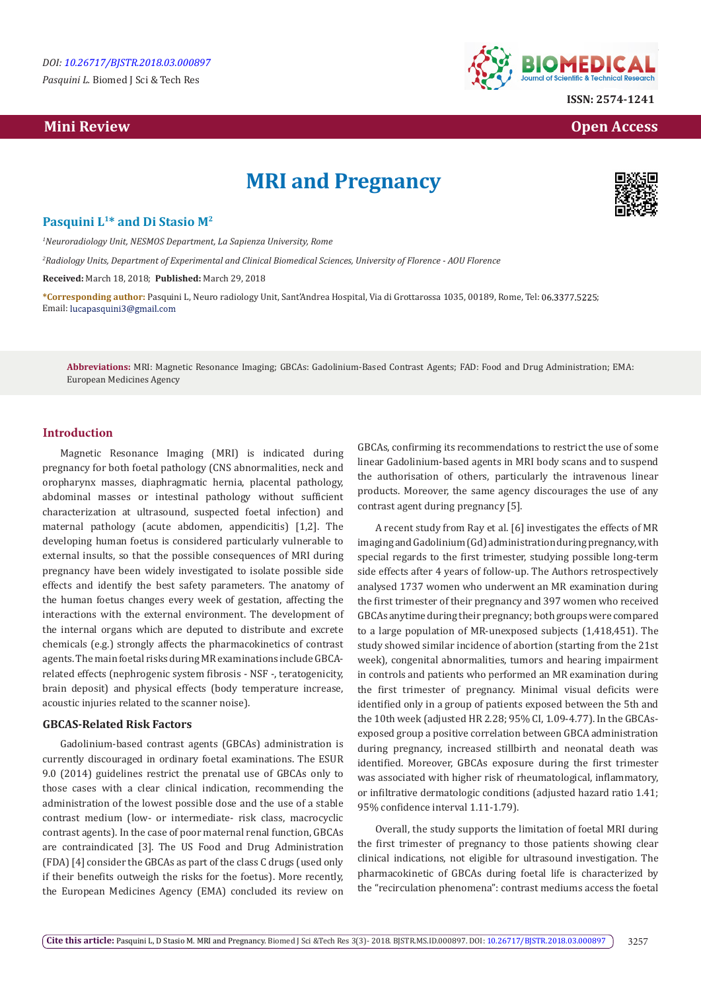# **Mini Review Open Access**



**ISSN: 2574-1241**

# **MRI and Pregnancy**



## **Pasquini L1\* and Di Stasio M2**

*1 Neuroradiology Unit, NESMOS Department, La Sapienza University, Rome*

*2 Radiology Units, Department of Experimental and Clinical Biomedical Sciences, University of Florence - AOU Florence*

**Received:** March 18, 2018; **Published:** March 29, 2018

**\*Corresponding author:** Pasquini L, Neuro radiology Unit, Sant'Andrea Hospital, Via di Grottarossa 1035, 00189, Rome, Tel: ; Email: lucapasquini3@gmail.com

**Abbreviations:** MRI: Magnetic Resonance Imaging; GBCAs: Gadolinium-Based Contrast Agents; FAD: Food and Drug Administration; EMA: European Medicines Agency

## **Introduction**

Magnetic Resonance Imaging (MRI) is indicated during pregnancy for both foetal pathology (CNS abnormalities, neck and oropharynx masses, diaphragmatic hernia, placental pathology, abdominal masses or intestinal pathology without sufficient characterization at ultrasound, suspected foetal infection) and maternal pathology (acute abdomen, appendicitis) [1,2]. The developing human foetus is considered particularly vulnerable to external insults, so that the possible consequences of MRI during pregnancy have been widely investigated to isolate possible side effects and identify the best safety parameters. The anatomy of the human foetus changes every week of gestation, affecting the interactions with the external environment. The development of the internal organs which are deputed to distribute and excrete chemicals (e.g.) strongly affects the pharmacokinetics of contrast agents. The main foetal risks during MR examinations include GBCArelated effects (nephrogenic system fibrosis - NSF -, teratogenicity, brain deposit) and physical effects (body temperature increase, acoustic injuries related to the scanner noise).

#### **GBCAS-Related Risk Factors**

Gadolinium-based contrast agents (GBCAs) administration is currently discouraged in ordinary foetal examinations. The ESUR 9.0 (2014) guidelines restrict the prenatal use of GBCAs only to those cases with a clear clinical indication, recommending the administration of the lowest possible dose and the use of a stable contrast medium (low- or intermediate- risk class, macrocyclic contrast agents). In the case of poor maternal renal function, GBCAs are contraindicated [3]. The US Food and Drug Administration (FDA) [4] consider the GBCAs as part of the class C drugs (used only if their benefits outweigh the risks for the foetus). More recently, the European Medicines Agency (EMA) concluded its review on

GBCAs, confirming its recommendations to restrict the use of some linear Gadolinium-based agents in MRI body scans and to suspend the authorisation of others, particularly the intravenous linear products. Moreover, the same agency discourages the use of any contrast agent during pregnancy [5].

A recent study from Ray et al. [6] investigates the effects of MR imaging and Gadolinium (Gd) administration during pregnancy, with special regards to the first trimester, studying possible long-term side effects after 4 years of follow-up. The Authors retrospectively analysed 1737 women who underwent an MR examination during the first trimester of their pregnancy and 397 women who received GBCAs anytime during their pregnancy; both groups were compared to a large population of MR-unexposed subjects (1,418,451). The study showed similar incidence of abortion (starting from the 21st week), congenital abnormalities, tumors and hearing impairment in controls and patients who performed an MR examination during the first trimester of pregnancy. Minimal visual deficits were identified only in a group of patients exposed between the 5th and the 10th week (adjusted HR 2.28; 95% CI, 1.09-4.77). In the GBCAsexposed group a positive correlation between GBCA administration during pregnancy, increased stillbirth and neonatal death was identified. Moreover, GBCAs exposure during the first trimester was associated with higher risk of rheumatological, inflammatory, or infiltrative dermatologic conditions (adjusted hazard ratio 1.41; 95% confidence interval 1.11-1.79).

Overall, the study supports the limitation of foetal MRI during the first trimester of pregnancy to those patients showing clear clinical indications, not eligible for ultrasound investigation. The pharmacokinetic of GBCAs during foetal life is characterized by the "recirculation phenomena": contrast mediums access the foetal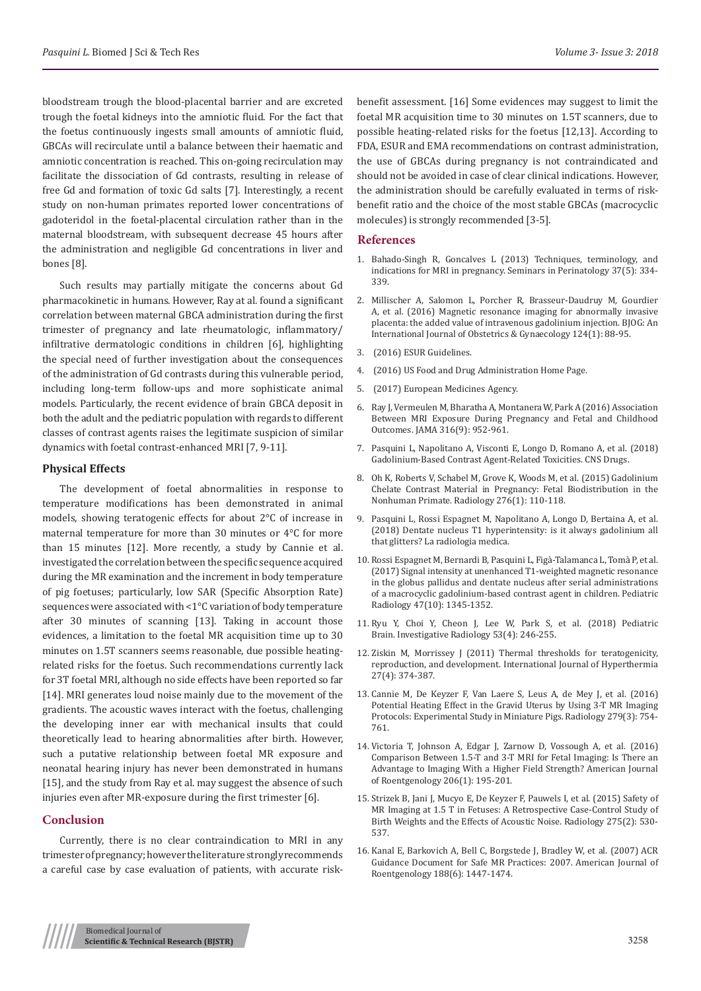bloodstream trough the blood-placental barrier and are excreted trough the foetal kidneys into the amniotic fluid. For the fact that the foetus continuously ingests small amounts of amniotic fluid, GBCAs will recirculate until a balance between their haematic and amniotic concentration is reached. This on-going recirculation may facilitate the dissociation of Gd contrasts, resulting in release of free Gd and formation of toxic Gd salts [7]. Interestingly, a recent study on non-human primates reported lower concentrations of gadoteridol in the foetal-placental circulation rather than in the maternal bloodstream, with subsequent decrease 45 hours after the administration and negligible Gd concentrations in liver and bones [8].

Such results may partially mitigate the concerns about Gd pharmacokinetic in humans. However, Ray at al. found a significant correlation between maternal GBCA administration during the first trimester of pregnancy and late rheumatologic, inflammatory/ infiltrative dermatologic conditions in children [6], highlighting the special need of further investigation about the consequences of the administration of Gd contrasts during this vulnerable period, including long-term follow-ups and more sophisticate animal models. Particularly, the recent evidence of brain GBCA deposit in both the adult and the pediatric population with regards to different classes of contrast agents raises the legitimate suspicion of similar dynamics with foetal contrast-enhanced MRI [7, 9-11].

#### **Physical Effects**

The development of foetal abnormalities in response to temperature modifications has been demonstrated in animal models, showing teratogenic effects for about 2°C of increase in maternal temperature for more than 30 minutes or 4°C for more than 15 minutes [12]. More recently, a study by Cannie et al. investigated the correlation between the specific sequence acquired during the MR examination and the increment in body temperature of pig foetuses; particularly, low SAR (Specific Absorption Rate) sequences were associated with <1°C variation of body temperature after 30 minutes of scanning [13]. Taking in account those evidences, a limitation to the foetal MR acquisition time up to 30 minutes on 1.5T scanners seems reasonable, due possible heatingrelated risks for the foetus. Such recommendations currently lack for 3T foetal MRI, although no side effects have been reported so far [14]. MRI generates loud noise mainly due to the movement of the gradients. The acoustic waves interact with the foetus, challenging the developing inner ear with mechanical insults that could theoretically lead to hearing abnormalities after birth. However, such a putative relationship between foetal MR exposure and neonatal hearing injury has never been demonstrated in humans [15], and the study from Ray et al. may suggest the absence of such injuries even after MR-exposure during the first trimester [6].

## **Conclusion**

Currently, there is no clear contraindication to MRI in any trimester of pregnancy; however the literature strongly recommends a careful case by case evaluation of patients, with accurate riskbenefit assessment. [16] Some evidences may suggest to limit the foetal MR acquisition time to 30 minutes on 1.5T scanners, due to possible heating-related risks for the foetus [12,13]. According to FDA, ESUR and EMA recommendations on contrast administration, the use of GBCAs during pregnancy is not contraindicated and should not be avoided in case of clear clinical indications. However, the administration should be carefully evaluated in terms of riskbenefit ratio and the choice of the most stable GBCAs (macrocyclic molecules) is strongly recommended [3-5].

#### **References**

- 1. [Bahado-Singh R, Goncalves L \(2013\) Techniques, terminology, and](https://www.sciencedirect.com/science/article/pii/S014600051300075X) [indications for MRI in pregnancy. Seminars in Perinatology 37\(5\): 334-](https://www.sciencedirect.com/science/article/pii/S014600051300075X) [339.](https://www.sciencedirect.com/science/article/pii/S014600051300075X)
- 2. [Millischer A, Salomon L, Porcher R, Brasseur-Daudruy M, Gourdier](https://www.ncbi.nlm.nih.gov/pubmed/27346286) [A, et al. \(2016\) Magnetic resonance imaging for abnormally invasive](https://www.ncbi.nlm.nih.gov/pubmed/27346286) [placenta: the added value of intravenous gadolinium injection. BJOG: An](https://www.ncbi.nlm.nih.gov/pubmed/27346286) [International Journal of Obstetrics & Gynaecology 124\(1\): 88-95.](https://www.ncbi.nlm.nih.gov/pubmed/27346286)
- 3. [\(2016\) ESUR Guidelines.](http://www.esur.org/esur-guidelines/)
- 4. [\(2016\) US Food and Drug Administration Home Page.](http://www.fda.gov/)
- 5. [\(2017\) European Medicines Agency.](http://www.ema.europa.eu/ema/)
- 6. [Ray J, Vermeulen M, Bharatha A, Montanera W, Park A \(2016\) Association](https://www.ncbi.nlm.nih.gov/pubmed/27599330) [Between MRI Exposure During Pregnancy and Fetal and Childhood](https://www.ncbi.nlm.nih.gov/pubmed/27599330) [Outcomes. JAMA 316\(9\): 952-961.](https://www.ncbi.nlm.nih.gov/pubmed/27599330)
- 7. [Pasquini L, Napolitano A, Visconti E, Longo D, Romano A, et al. \(2018\)](https://www.ncbi.nlm.nih.gov/pubmed/29508245https:/www.ncbi.nlm.nih.gov/pubmed/29508245) [Gadolinium-Based Contrast Agent-Related Toxicities. CNS Drugs.](https://www.ncbi.nlm.nih.gov/pubmed/29508245https:/www.ncbi.nlm.nih.gov/pubmed/29508245)
- 8. [Oh K, Roberts V, Schabel M, Grove K, Woods M, et al. \(2015\) Gadolinium](https://www.ncbi.nlm.nih.gov/pubmed/25763829) [Chelate Contrast Material in Pregnancy: Fetal Biodistribution in the](https://www.ncbi.nlm.nih.gov/pubmed/25763829) [Nonhuman Primate. Radiology 276\(1\): 110-118.](https://www.ncbi.nlm.nih.gov/pubmed/25763829)
- 9. [Pasquini L, Rossi Espagnet M, Napolitano A, Longo D, Bertaina A, et al.](https://www.ncbi.nlm.nih.gov/pubmed/29374857) [\(2018\) Dentate nucleus T1 hyperintensity: is it always gadolinium all](https://www.ncbi.nlm.nih.gov/pubmed/29374857) that glitters? [La radiologia medica.](https://www.ncbi.nlm.nih.gov/pubmed/29374857)
- 10. [Rossi Espagnet M, Bernardi B, Pasquini L, Fig](https://www.ncbi.nlm.nih.gov/pubmed/28526896)à-Talamanca L, Tomà P, et al. [\(2017\) Signal intensity at unenhanced T1-weighted magnetic resonance](https://www.ncbi.nlm.nih.gov/pubmed/28526896) [in the globus pallidus and dentate nucleus after serial administrations](https://www.ncbi.nlm.nih.gov/pubmed/28526896) [of a macrocyclic gadolinium-based contrast agent in children.](https://www.ncbi.nlm.nih.gov/pubmed/28526896) Pediatric [Radiology 47\(10\): 1345-1352](https://www.ncbi.nlm.nih.gov/pubmed/28526896).
- 11. Ryu Y, Choi Y, Cheon J, Lee W, Park S, et al. (2018) Pediatric Brain. Investigative Radiology 53(4): 246-255.
- 12. [Ziskin M, Morrissey J \(2011\) Thermal thresholds for teratogenicity,](https://www.ncbi.nlm.nih.gov/pubmed/21591900) [reproduction, and development. International Journal of Hyperthermia](https://www.ncbi.nlm.nih.gov/pubmed/21591900) [27\(4\): 374-387.](https://www.ncbi.nlm.nih.gov/pubmed/21591900)
- 13. [Cannie M, De Keyzer F, Van Laere S, Leus A, de Mey J, et al. \(2016\)](https://www.ncbi.nlm.nih.gov/pubmed/26624974) [Potential Heating Effect in the Gravid Uterus by Using 3-T MR Imaging](https://www.ncbi.nlm.nih.gov/pubmed/26624974) [Protocols: Experimental Study in Miniature Pigs. Radiology 279\(3\): 754-](https://www.ncbi.nlm.nih.gov/pubmed/26624974) [761.](https://www.ncbi.nlm.nih.gov/pubmed/26624974)
- 14. [Victoria T, Johnson A, Edgar J, Zarnow D, Vossough A, et al. \(2016\)](https://www.ajronline.org/doi/abs/10.2214/AJR.14.14205) [Comparison Between 1.5-T and 3-T MRI for Fetal Imaging: Is There an](https://www.ajronline.org/doi/abs/10.2214/AJR.14.14205) [Advantage to Imaging With a Higher Field Strength?](https://www.ajronline.org/doi/abs/10.2214/AJR.14.14205) American Journal [of Roentgenology 206\(1\): 195-201.](https://www.ajronline.org/doi/abs/10.2214/AJR.14.14205)
- 15. [Strizek B, Jani J, Mucyo E, De Keyzer F, Pauwels I, et al. \(2015\) Safety of](https://www.ncbi.nlm.nih.gov/pubmed/25575119) [MR Imaging at 1.5 T in Fetuses: A Retrospective Case-Control Study of](https://www.ncbi.nlm.nih.gov/pubmed/25575119) [Birth Weights and the Effects of Acoustic Noise. Radiology 275\(2\): 530-](https://www.ncbi.nlm.nih.gov/pubmed/25575119) [537.](https://www.ncbi.nlm.nih.gov/pubmed/25575119)
- 16. [Kanal E, Barkovich A, Bell C, Borgstede J, Bradley W, et al. \(2007\) ACR](https://www.ajronline.org/doi/full/10.2214/AJR.06.1616) [Guidance Document for Safe MR Practices: 2007. American Journal of](https://www.ajronline.org/doi/full/10.2214/AJR.06.1616) [Roentgenology 188\(6\): 1447-1474.](https://www.ajronline.org/doi/full/10.2214/AJR.06.1616)